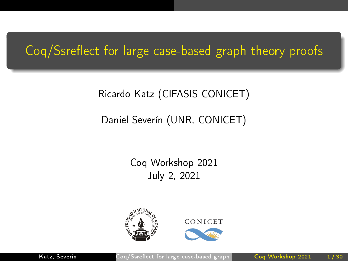# <span id="page-0-0"></span>Coq/Ssreflect for large case-based graph theory proofs

### Ricardo Katz (CIFASIS-CONICET)

### Daniel Severín (UNR, CONICET)

### Coq Workshop 2021 July 2, 2021





Katz, Severín Coq/Ssreflect for large case-based graph Coq Workshop 2021 1/30

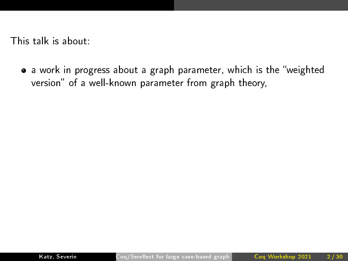• a work in progress about a graph parameter, which is the "weighted version" of a well-known parameter from graph theory,

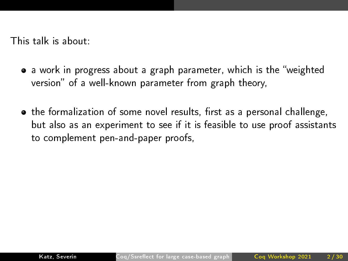- a work in progress about a graph parameter, which is the "weighted version" of a well-known parameter from graph theory,
- the formalization of some novel results, first as a personal challenge, but also as an experiment to see if it is feasible to use proof assistants to complement pen-and-paper proofs,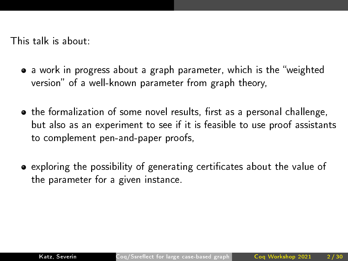- a work in progress about a graph parameter, which is the "weighted version" of a well-known parameter from graph theory,
- the formalization of some novel results, first as a personal challenge, but also as an experiment to see if it is feasible to use proof assistants to complement pen-and-paper proofs,
- exploring the possibility of generating certificates about the value of the parameter for a given instance.

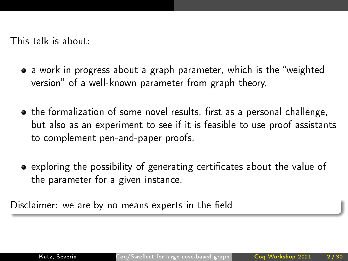- a work in progress about a graph parameter, which is the "weighted version" of a well-known parameter from graph theory,
- the formalization of some novel results, first as a personal challenge, but also as an experiment to see if it is feasible to use proof assistants to complement pen-and-paper proofs,
- exploring the possibility of generating certificates about the value of the parameter for a given instance.

Disclaimer: we are by no means experts in the field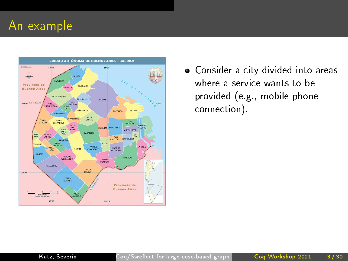

Consider a city divided into areas where a service wants to be provided (e.g., mobile phone connection).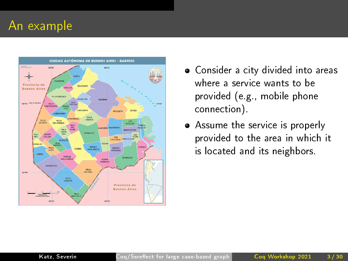

- Consider a city divided into areas where a service wants to be provided (e.g., mobile phone connection).
- Assume the service is properly provided to the area in which it is located and its neighbors.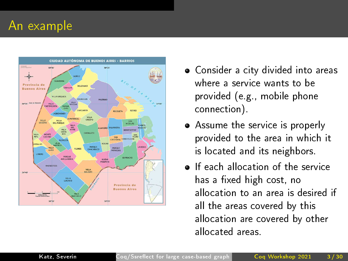

- Consider a city divided into areas where a service wants to be provided (e.g., mobile phone connection).
- Assume the service is properly provided to the area in which it is located and its neighbors.
- **•** If each allocation of the service has a fixed high cost, no allocation to an area is desired if all the areas covered by this allocation are covered by other allocated areas.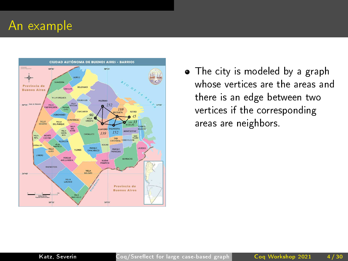

• The city is modeled by a graph whose vertices are the areas and there is an edge between two vertices if the corresponding areas are neighbors.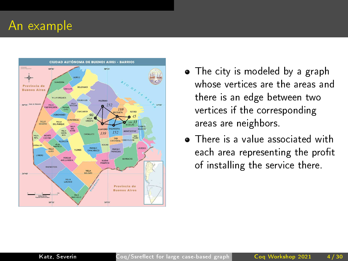

- The city is modeled by a graph whose vertices are the areas and there is an edge between two vertices if the corresponding areas are neighbors.
- **•** There is a value associated with each area representing the profit of installing the service there.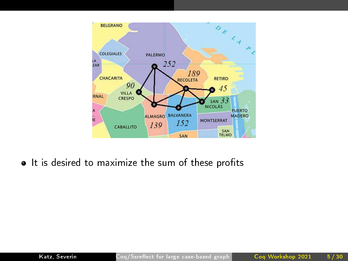

• It is desired to maximize the sum of these profits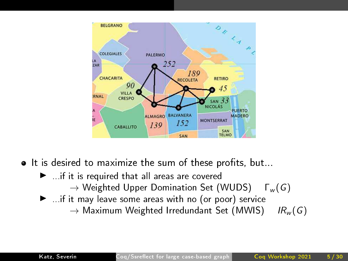

- $\bullet$  It is desired to maximize the sum of these profits, but...
	- $\blacktriangleright$  . if it is required that all areas are covered  $\rightarrow$  Weighted Upper Domination Set (WUDS)  $\Gamma_w(G)$  $\blacktriangleright$  ...if it may leave some areas with no (or poor) service
		- $\rightarrow$  Maximum Weighted Irredundant Set (MWIS) IR<sub>w</sub> (G)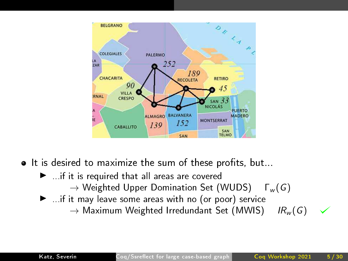

- $\bullet$  It is desired to maximize the sum of these profits, but...
	- $\blacktriangleright$  . if it is required that all areas are covered
		- $\rightarrow$  Weighted Upper Domination Set (WUDS)  $\Gamma_w(G)$
	- $\blacktriangleright$  ...if it may leave some areas with no (or poor) service
		- $\rightarrow$  Maximum Weighted Irredundant Set (MWIS) IR<sub>w</sub> (G)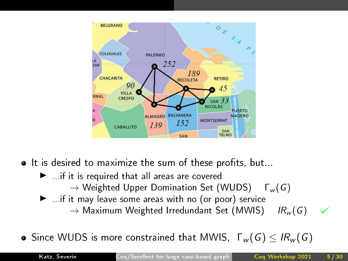

- $\bullet$  It is desired to maximize the sum of these profits, but...
	- $\blacktriangleright$  . if it is required that all areas are covered  $\rightarrow$  Weighted Upper Domination Set (WUDS)  $\Gamma_w(G)$
	- $\blacktriangleright$  ...if it may leave some areas with no (or poor) service  $\rightarrow$  Maximum Weighted Irredundant Set (MWIS) IR<sub>w</sub> (G)

**•** Since WUDS is more constrained that MWIS,  $\Gamma_w(G) \leq IR_w(G)$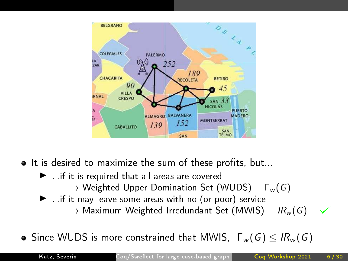

- $\bullet$  It is desired to maximize the sum of these profits, but...
	- $\blacktriangleright$  . if it is required that all areas are covered  $\rightarrow$  Weighted Upper Domination Set (WUDS)  $\Gamma_w(G)$
	- $\blacktriangleright$  ...if it may leave some areas with no (or poor) service  $\rightarrow$  Maximum Weighted Irredundant Set (MWIS) IR<sub>w</sub> (G)

**•** Since WUDS is more constrained that MWIS,  $\Gamma_w(G) \leq IR_w(G)$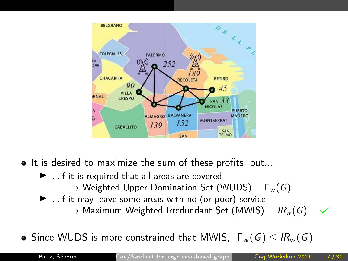

- $\bullet$  It is desired to maximize the sum of these profits, but...
	- $\blacktriangleright$  . if it is required that all areas are covered  $\rightarrow$  Weighted Upper Domination Set (WUDS)  $\Gamma_w(G)$
	- $\blacktriangleright$  ...if it may leave some areas with no (or poor) service  $\rightarrow$  Maximum Weighted Irredundant Set (MWIS) IR<sub>w</sub> (G)

**•** Since WUDS is more constrained that MWIS,  $\Gamma_w(G) \leq IR_w(G)$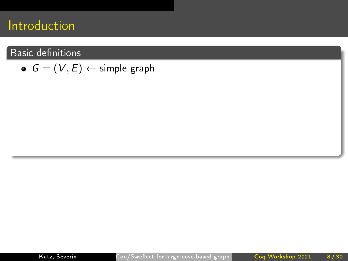#### **Basic definitions**

 $G = (V, E) \leftarrow$  simple graph

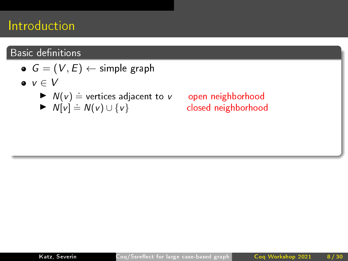#### **Basic definitions**

- $G = (V, E) \leftarrow$  simple graph
- $\bullet v \in V$ 
	- $\blacktriangleright N(v) \doteq$  vertices adjacent to v open neighborhood
	- $\blacktriangleright N[v] \doteq N(v) \cup \{v\}$

.open neighborhood<br>closed neighborhood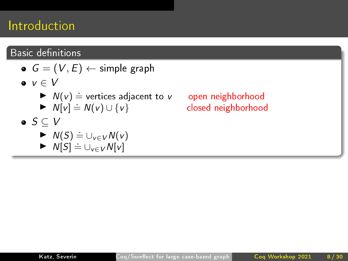### Basic definitions

|                           | $G = (V, E) \leftarrow$ simple graph                                                                            |
|---------------------------|-----------------------------------------------------------------------------------------------------------------|
| $\bullet v \in V$         |                                                                                                                 |
| $\bullet$ $S \subseteq V$ | $\blacktriangleright$ $N(v) \doteq$ vertices adjacent to v<br>$\blacktriangleright N[v] \doteq N(v) \cup \{v\}$ |
|                           |                                                                                                                 |
|                           | $\blacktriangleright N(S) \doteq \bigcup_{v \in V} N(v)$                                                        |
|                           | $\triangleright N[S] \doteq \bigcup_{v \in V} N[v]$                                                             |

open neighborhood closed neighborhood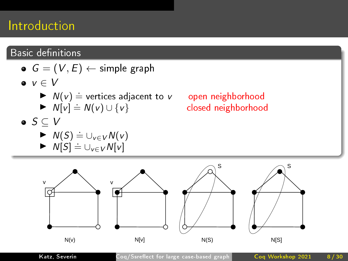#### Basic definitions





Katz, Severín Coq/Ssreflect for large case-based graph Coq Workshop 2021 8/30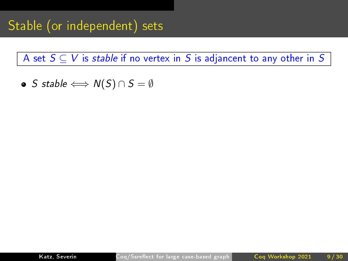• S stable  $\Longleftrightarrow N(S) \cap S = \emptyset$ 

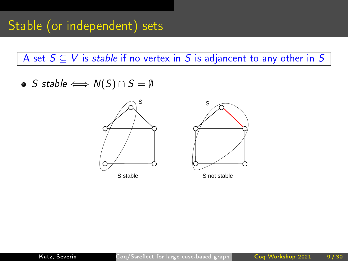• S stable  $\Longleftrightarrow N(S) \cap S = \emptyset$ 



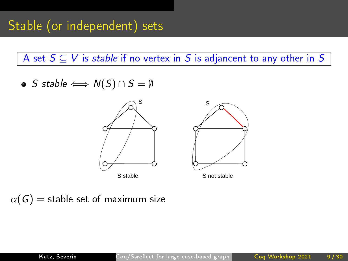• S stable  $\Longleftrightarrow N(S) \cap S = \emptyset$ 





 $\alpha(G)$  = stable set of maximum size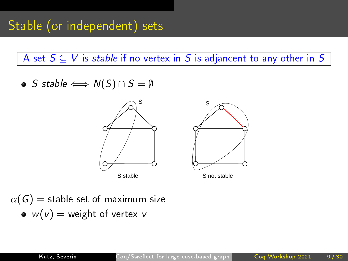• S stable  $\Longleftrightarrow N(S) \cap S = \emptyset$ 





 $\alpha(G) =$  stable set of maximum size  $w(v) =$  weight of vertex v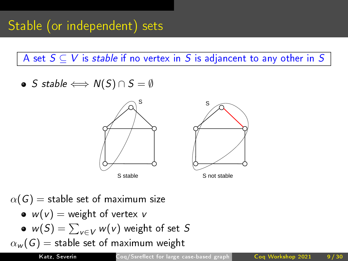• S stable  $\Longleftrightarrow N(S) \cap S = \emptyset$ 



 $\alpha(G) =$  stable set of maximum size •  $w(v) =$  weight of vertex v  $w(\mathcal{S}) = \sum_{v \in V} w(v)$  weight of set  $\mathcal S$  $\alpha_w(G)$  = stable set of maximum weight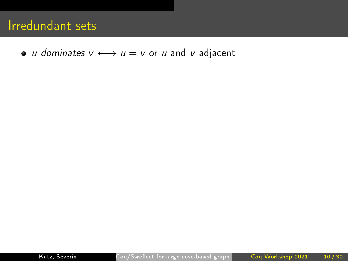• *u dominates*  $v \longleftrightarrow u = v$  or *u* and *v* adjacent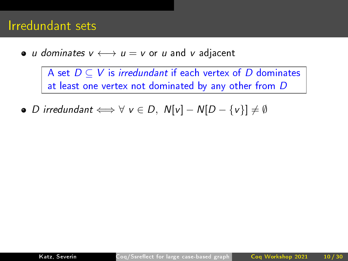### Irredundant sets

• u dominates  $v \leftrightarrow u = v$  or u and v adjacent

A set  $D \subseteq V$  is *irredundant* if each vertex of D dominates at least one vertex not dominated by any other from D

• *D* irredundant  $\Longleftrightarrow$   $\forall$   $v \in D$ ,  $N[v] - N[D - \{v\}] \neq \emptyset$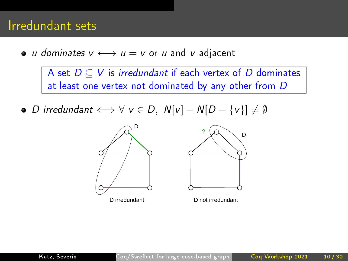### Irredundant sets

• *u dominates*  $v \longleftrightarrow u = v$  or *u* and *v* adjacent

A set  $D \subseteq V$  is irredundant if each vertex of D dominates at least one vertex not dominated by any other from D

• *D* irredundant  $\Longleftrightarrow$   $\forall$   $v \in D$ ,  $N[v] - N[D - \{v\}] \neq \emptyset$ 





D not irredundant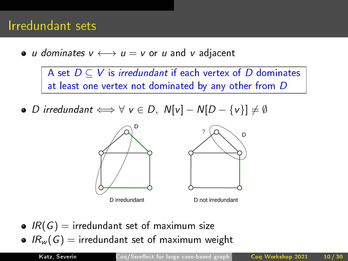### Irredundant sets

• *u dominates*  $v \leftrightarrow u = v$  or *u* and *v* adjacent

A set  $D \subseteq V$  is *irredundant* if each vertex of D dominates at least one vertex not dominated by any other from D

• *D* irredundant  $\Longleftrightarrow$   $\forall$   $v \in D$ ,  $N[v] - N[D - \{v\}] \neq \emptyset$ 





D not irredundant

 $\bullet$  IR(G) = irredundant set of maximum size •  $IR_w(G)$  = irredundant set of maximum weight

Katz, Severín Coq/Ssreflect for large case-based graph Coq Workshop 2021 10/30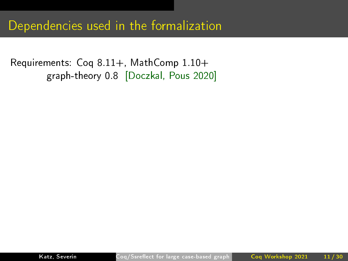Requirements: Coq 8.11+, MathComp 1.10+ graph-theory 0.8 [Doczkal, Pous 2020]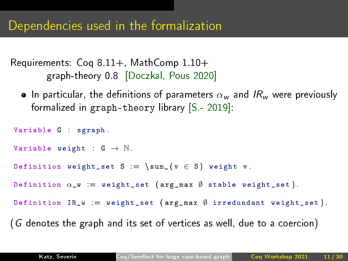```
Requirements: Coq 8.11+, MathComp 1.10+
       graph-theory 0.8 [Doczkal, Pous 2020]
```
**I** In particular, the definitions of parameters  $\alpha_w$  and  $IR_w$  were previously formalized in graph-theory library [S.- 2019]:

```
Variable G sgraph
Variable weight G \rightarrow \mathbb{N}.
Definition weight_set S = \sum_ (v \in S) weight v
Definition \alpha_{\perp} w := weight_set (arg_max \emptyset stable weight_set).
Definition IR_w := weight_set (argmax Ø irredundant weight_set).
(G denotes the graph and its set of vertices as well, due to a coercion)
```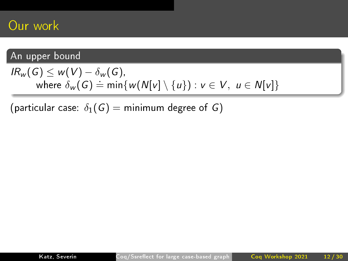#### An upper bound

$$
IR_w(G) \leq w(V) - \delta_w(G),
$$
  
where  $\delta_w(G) = \min\{w(N[v] \setminus \{u\}) : v \in V, u \in N[v]\}$ 

(particular case:  $\delta_1(G) = \text{minimum degree of } G$ )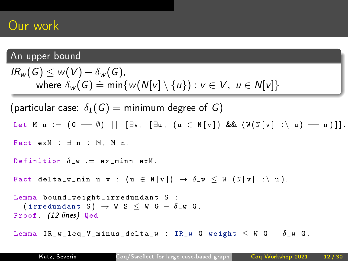#### An upper bound

```
IR_w(G) \leq w(V) - \delta_w(G)where \delta_w(G) = \min\{w(N[v] \setminus \{u\}) : v \in V, u \in N[v]\}\(particular case: \delta_1(G) = minimum degree of G)
Let M n := (G == \emptyset) || [∃v, [∃u, (u ∈ N[v]) && (W(N[v] :\ u) == n)]].
Fact exM \exists n \in \mathbb{N} M n
Definition \delta w := ex_minn exM.
Fact delta_w_min u v : (u \in N[v]) \rightarrow \delta_w \le W(N[v] : \{ u \}.
Lemma bound_weight_irredundant S :
   ( irredundant S) \rightarrow W S \leq W G - \delta W G.
Proof (12 lines) Qed
Lemma IR_w_leq_V_minus_delta_w : IR_w G weight \leq W G - \delta_w G.
```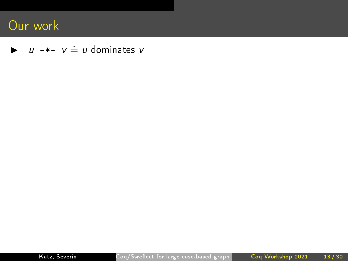$\blacktriangleright$   $u$  -\*-  $v \doteq u$  dominates v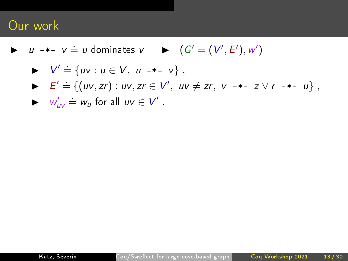$\triangleright$  u -\*-  $v = u$  dominates  $v$   $\triangleright$   $(G' = (V', E'), w')$ 

$$
\blacktriangleright \quad V' \doteq \{ uv : u \in V, \ u \dashrightarrow \hspace{-3mm} \dashv \hspace{-3mm} \dashv \} \ ,
$$

$$
\blacktriangleright \quad E' \doteq \{ (uv, zr) : uv, zr \in V', uv \neq zr, \ v \dashrightarrow z \lor r \dashrightarrow u \},
$$

$$
\blacktriangleright \quad w'_{uv} \doteq w_u \text{ for all } uv \in V' \ .
$$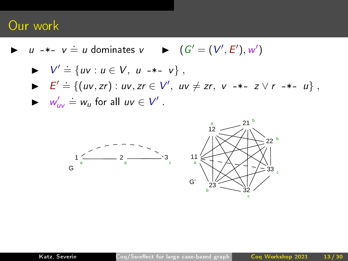$\triangleright$  u -\*-  $v = u$  dominates  $v$   $\triangleright$   $(G' = (V', E'), w')$ 

► 
$$
V' \stackrel{\cdot}{=} \{ uv : u \in V, u \dashrightarrow -v \},
$$
  
\n▶  $E' \stackrel{\cdot}{=} \{(uv, zr) : uv, zr \in V', uv \neq zr, v \dashrightarrow -z \lor r \dashrightarrow -u \},$   
\n▶  $w'_{uv} \stackrel{\cdot}{=} w_u$  for all  $uv \in V'.$ 

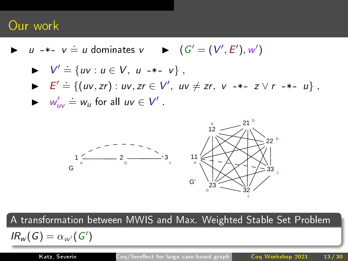$\triangleright$  u -\*- v = u dominates v  $\triangleright$   $(G' = (V', E'), w')$ 

► 
$$
V' \stackrel{\text{.}}{=} \{ uv : u \in V, u \dashrightarrow -v \},
$$
  
\n▶  $E' = \{(uv, zr) : uv, zr \in V', uv \neq zr, v \dashrightarrow -z \lor r \dashrightarrow -u \},$   
\n▶  $w'_{uv} = w_u$  for all  $uv \in V'.$ 



A transformation between MWIS and Max. Weighted Stable Set Problem

 $IR_w(G) = \alpha_{w'}(G')$ 

Katz, Severín Coq/Ssreflect for large case-based graph Coq Workshop 2021 13/30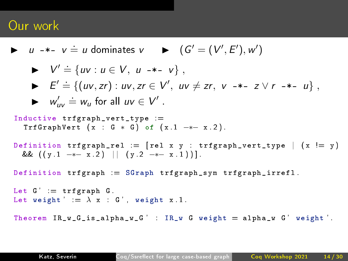$\triangleright$  u -\*- v = u dominates v  $\triangleright$   $(G' = (V', E'), w')$ ►  $V' \stackrel{.}{=} \{ uv : u \in V, u \dashrightarrow v \}$ , ►  $E' = \{(uv, zr) : uv, zr \in V', uv \neq zr, v \rightarrow z \vee r \rightarrow z \cup n \}$  $\blacktriangleright$   $w'_{uv} \doteq w_u$  for all  $uv \in V'$ . Inductive trfgraph\_vert\_type :=  $TrfGraphVert$  (x : G \* G) of (x 1 -\*- x 2). Definition trfgraph\_rel :=  $\lceil$  rel x y : trfgraph\_vert\_type  $\lceil$  (x  $\lceil = y \rceil$ ) &&  $((y 1 - x 2) || (y 2 - x 1))]$ Definition  $trfgraph := SGraph trfgraph\_sym trfgraph\_irrefl$ . Let  $G' = trfgraph G$ Let weight '  $= \lambda x$  G', weight x 1. Theorem  $IR_w_G_is_alpha_w_G'$  :  $IR_w_G$  weight = alpha\_w G' weight '.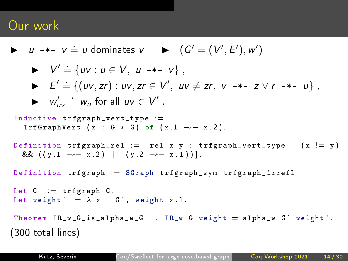```
\triangleright u -*- v = u dominates v \triangleright (G' = (V', E'), w')► V' \stackrel{.}{=} \{ uv : u \in V, u \dashrightarrow v \},
     ► E' = \{(uv, zr) : uv, zr \in V', uv \neq zr, v \rightarrow z \vee r \rightarrow z \cup n \}\blacktriangleright w'_{uv} \doteq w_u for all uv \in V'.
Inductive trfgraph_vert_type :=
   TrfGraphVert (x : G * G) of (x 1 -*- x 2).
Definition trfgraph_rel := \lceil rel x y : trfgraph_vert_type \lceil (x \lceil = y \rceil)
   && ((y 1 - * - x 2) || (y 2 - * - x 1))]Definition trfgraph := SGraph trfgraph\_sym trfgraph\_irrefl.
Let G' = trfgraph GLet weight ' = \lambda x G', weight x 1.
Theorem IR_w_G_is_alpha_w_G' : IR_w_G weight = alpha_w G' weight '.
(300 total lines)
```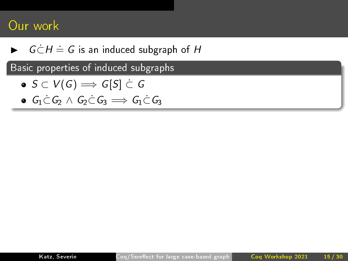$\blacktriangleright$   $G \dot{\subset} H \doteq G$  is an induced subgraph of  $H$ 

Basic properties of induced subgraphs

- $\bullet S \subset V(G) \Longrightarrow G[S] \subset G$
- $\bullet$   $G_1 \subset G_2 \wedge G_2 \subset G_3 \Longrightarrow G_1 \subset G_3$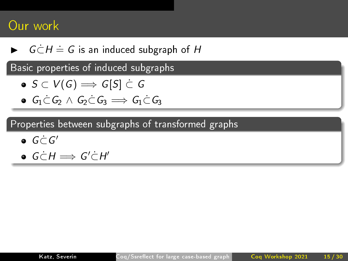$\blacktriangleright$   $G \dot{\subset} H \doteq G$  is an induced subgraph of  $H$ 

Basic properties of induced subgraphs

$$
\bullet \:\: S \subset V(G) \Longrightarrow G[S] \subset G
$$

 $\bullet$   $G_1 \subset G_2 \wedge G_2 \subset G_3 \Longrightarrow G_1 \subset G_3$ 

Properties between subgraphs of transformed graphs

- $G\dot{\subset} G'$
- $G \subset H \Longrightarrow G' \subset H'$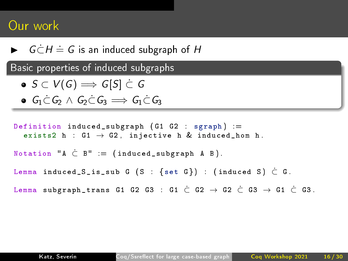$\blacktriangleright$   $G \dot{\subset} H \doteq G$  is an induced subgraph of  $H$ 

Basic properties of induced subgraphs

- $\bullet S \subset V(G) \Longrightarrow G[S] \subset G$
- $\bullet$   $G_1 \subset G_2 \wedge G_2 \subset G_3 \Longrightarrow G_1 \subset G_3$

Definition induced\_subgraph  $(G1 G2 : sgraph) =$ exists2 h :  $G1 \rightarrow G2$ , injective h & induced\_hom h. Notation " $A \subset B'' = (induced\_subgraph A B)$ . Lemma induced\_S\_is\_sub G (S : {set G}) : (induced S)  $\subset$  G. Lemma subgraph\_trans G1 G2 G3 : G1  $\stackrel{.}{C}$  G2  $\rightarrow$  G2  $\stackrel{.}{C}$  G3  $\rightarrow$  G1  $\stackrel{.}{C}$  G3.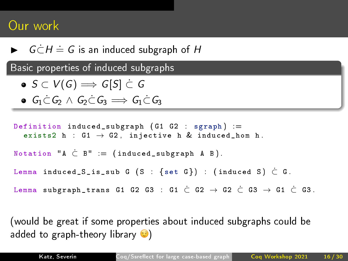$\blacktriangleright$   $G \dot{\subset} H \doteq G$  is an induced subgraph of  $H$ 

Basic properties of induced subgraphs

- $\bullet S \subset V(G) \Longrightarrow G[S] \subset G$
- $\bullet$   $G_1 \subset G_2 \wedge G_2 \subset G_3 \Longrightarrow G_1 \subset G_3$

Definition induced\_subgraph  $(G1 G2 sgraph) =$ exists2 h :  $G1 \rightarrow G2$ , injective h & induced\_hom h. Notation "A  $\subset$  B" = (induced\_subgraph A B).

Lemma induced\_S\_is\_sub G (S : {set G}) : (induced S)  $\subset$  G.

Lemma subgraph\_trans G1 G2 G3 : G1  $\stackrel{.}{C}$  G2  $\rightarrow$  G2  $\stackrel{.}{C}$  G3  $\rightarrow$  G1  $\stackrel{.}{C}$  G3.

(would be great if some properties about induced subgraphs could be added to graph-theory library  $\odot$ )

.

Katz, Severín Coq/Ssreflect for large case-based graph Coq Workshop 2021 16/30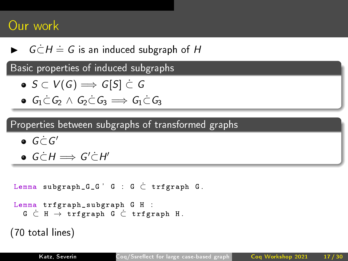$\blacktriangleright$   $G \dot{\subset} H \doteq G$  is an induced subgraph of  $H$ 

Basic properties of induced subgraphs

$$
\bullet \:\: S \subset V(\overline{G}) \Longrightarrow \overline{G[S]} \subset \overline{G}
$$

 $G_1 \subset G_2 \wedge G_2 \subset G_3 \Longrightarrow G_1 \subset G_3$ 

Properties between subgraphs of transformed graphs

- $G\dot{\subset} G'$
- $G \subset H \Longrightarrow G' \subset H'$

```
Lemma subgraph_G_G' G \subset C \subset trfgraph G.
```

```
Lemma trfgraph_subgraph G H :
  G ⊂˙ H → trfgraph G ⊂˙ trfgraph H .
```

```
(70 total lines)
```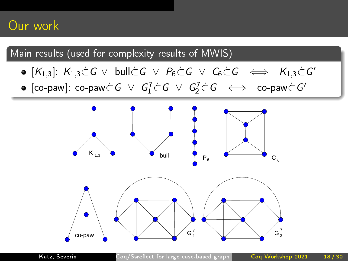- $[K_{1,3}]:\ K_{1,3}\dot{\subset} G\ \vee\ \mathsf{build}\ \subset\ \subset\ \rho_6\dot{\subset} G\ \vee\ \overline{C_6}\dot{\subset} G\ \iff\ K_{1,3}\dot{\subset} G'$
- $[\mathsf{co}\text{-}\mathsf{paw}]\colon \mathsf{co}\text{-}\mathsf{paw} \dot{\subset} \mathsf{G} \ \lor \ \mathsf{G}_1^7 \dot{\subset} \mathsf{G} \ \lor \ \mathsf{G}_2^7 \dot{\subset} \mathsf{G} \ \iff \ \mathsf{co}\text{-}\mathsf{paw} \dot{\subset} \mathsf{G}'$

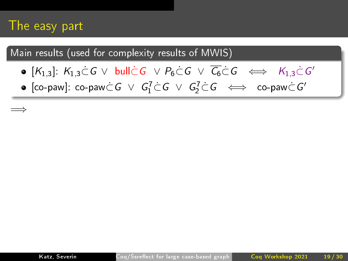### The easy part

=⇒

- $[K_{1,3}]: K_{1,3}\subset G\ \vee\ \text{\rm{bulk}}\ C\ \vee\ P_6\subset G\ \vee\ \overline{C_6}\subset G\ \iff\ K_{1,3}\subset G'$
- $[\mathsf{co}\text{-}\mathsf{paw}]\colon \mathsf{co}\text{-}\mathsf{paw} \dot{\subset} \mathsf{G} \ \lor \ \mathsf{G}_1^7 \dot{\subset} \mathsf{G} \ \lor \ \mathsf{G}_2^7 \dot{\subset} \mathsf{G} \ \iff \ \mathsf{co}\text{-}\mathsf{paw} \dot{\subset} \mathsf{G}'$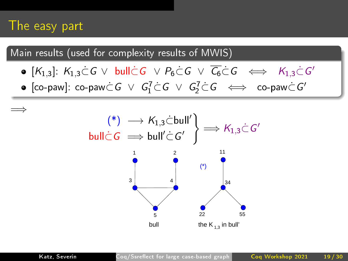### The easy part

=⇒

- $[K_{1,3}]: K_{1,3}\subset G\ \vee\ \text{\rm{bulk}}\ C\ \vee\ P_6\subset G\ \vee\ \overline{C_6}\subset G\ \iff\ K_{1,3}\subset G'$
- $[\mathsf{co}\text{-}\mathsf{paw}]\colon \mathsf{co}\text{-}\mathsf{paw} \dot{\subset} \mathsf{G} \ \lor \ \mathsf{G}_1^7 \dot{\subset} \mathsf{G} \ \lor \ \mathsf{G}_2^7 \dot{\subset} \mathsf{G} \ \iff \ \mathsf{co}\text{-}\mathsf{paw} \dot{\subset} \mathsf{G}'$

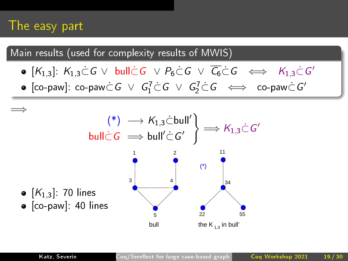### The easy part

Main results (used for complexity results of MWIS)

- $[K_{1,3}]: K_{1,3}\subset G\ \vee\ \text{\rm{bulk}}\ C\ \vee\ P_6\subset G\ \vee\ \overline{C_6}\subset G\ \iff\ K_{1,3}\subset G'$
- $[\mathsf{co}\text{-}\mathsf{paw}]\colon \mathsf{co}\text{-}\mathsf{paw} \dot{\subset} \mathsf{G} \ \lor \ \mathsf{G}_1^7 \dot{\subset} \mathsf{G} \ \lor \ \mathsf{G}_2^7 \dot{\subset} \mathsf{G} \ \iff \ \mathsf{co}\text{-}\mathsf{paw} \dot{\subset} \mathsf{G}'$



.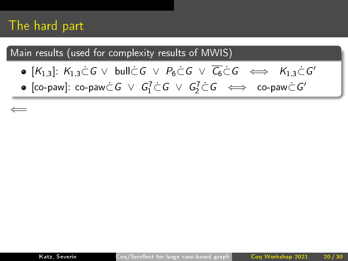### The hard part

⇐=

- $[K_{1,3}]:\ K_{1,3}\dot{\subset} G\ \vee\ \mathsf{build}\ \subset\ \subset\ \rho_6\dot{\subset} G\ \vee\ \overline{C_6}\dot{\subset} G\ \iff\ K_{1,3}\dot{\subset} G'$
- $[\mathsf{co}\text{-}\mathsf{paw}]\colon \mathsf{co}\text{-}\mathsf{paw} \dot{\subset} \mathsf{G} \ \lor \ \mathsf{G}_1^7 \dot{\subset} \mathsf{G} \ \lor \ \mathsf{G}_2^7 \dot{\subset} \mathsf{G} \ \iff \ \mathsf{co}\text{-}\mathsf{paw} \dot{\subset} \mathsf{G}'$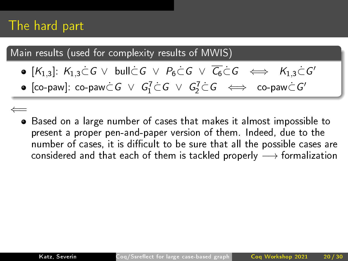### The hard part

- $[K_{1,3}]:\ K_{1,3}\dot{\subset} G\ \vee\ \mathsf{build}\ \subset\ \subset\ \rho_6\dot{\subset} G\ \vee\ \overline{C_6}\dot{\subset} G\ \iff\ K_{1,3}\dot{\subset} G'$
- $[\mathsf{co}\text{-}\mathsf{paw}]\colon \mathsf{co}\text{-}\mathsf{paw} \dot{\subset} \mathsf{G} \ \lor \ \mathsf{G}_1^7 \dot{\subset} \mathsf{G} \ \lor \ \mathsf{G}_2^7 \dot{\subset} \mathsf{G} \ \iff \ \mathsf{co}\text{-}\mathsf{paw} \dot{\subset} \mathsf{G}'$
- ⇐= Based on a large number of cases that makes it almost impossible to present a proper pen-and-paper version of them. Indeed, due to the number of cases, it is difficult to be sure that all the possible cases are considered and that each of them is tackled properly  $\longrightarrow$  formalization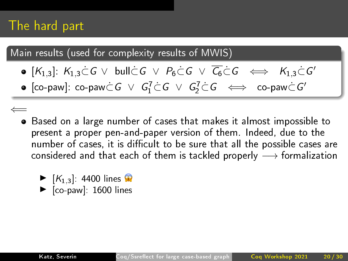### The hard part

- $[K_{1,3}]:\ K_{1,3}\dot{\subset} G\ \vee\ \mathsf{build}\ \subset\ \subset\ \rho_6\dot{\subset} G\ \vee\ \overline{C_6}\dot{\subset} G\ \iff\ K_{1,3}\dot{\subset} G'$
- $[\mathsf{co}\text{-}\mathsf{paw}]\colon \mathsf{co}\text{-}\mathsf{paw} \dot{\subset} \mathsf{G} \ \lor \ \mathsf{G}_1^7 \dot{\subset} \mathsf{G} \ \lor \ \mathsf{G}_2^7 \dot{\subset} \mathsf{G} \ \iff \ \mathsf{co}\text{-}\mathsf{paw} \dot{\subset} \mathsf{G}'$
- ⇐= Based on a large number of cases that makes it almost impossible to present a proper pen-and-paper version of them. Indeed, due to the number of cases, it is difficult to be sure that all the possible cases are considered and that each of them is tackled properly  $\longrightarrow$  formalization
	- $\blacktriangleright$   $[K_{1,3}]$ : 4400 lines  $\triangleright$  [co-paw]: 1600 lines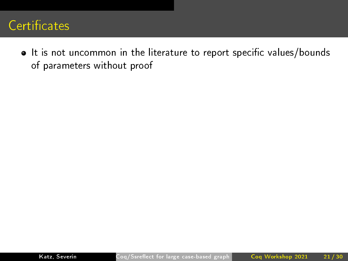### Certificates

 $\bullet$  It is not uncommon in the literature to report specific values/bounds of parameters without proof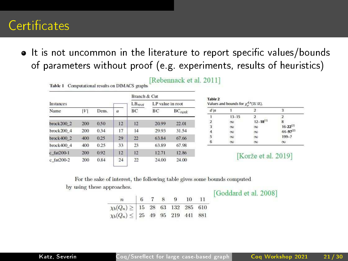### Certificates

• It is not uncommon in the literature to report specific values/bounds of parameters without proof (e.g. experiments, results of heuristics)

|                 |     |       |             |                  | <b>Branch &amp; Cut</b> |           |  |  |  |
|-----------------|-----|-------|-------------|------------------|-------------------------|-----------|--|--|--|
| Instances       |     |       | $LB_{root}$ | LP value in root |                         |           |  |  |  |
| Name            | V   | Dens. | $\alpha$    | BС               | BC                      | $BC$ rank |  |  |  |
| break2002       | 200 | 0.50  | 12          | 12               | 20.99                   | 22.01     |  |  |  |
| brock200 4      | 200 | 0.34  | 17          | 14               | 29.93                   | 31.54     |  |  |  |
| break4002       | 400 | 0.25  | 29          | 22               | 63.84                   | 67.66     |  |  |  |
| $b$ roc $k4004$ | 400 | 0.25  | 33          | 23               | 63.89                   | 67.98     |  |  |  |
| $c$ fat $200-1$ | 200 | 0.92  | 12          | 12               | 12.71                   | 12.86     |  |  |  |
| c fat200-2      | 200 | 0.84  | 24          | 22               | 24.00                   | 24.00     |  |  |  |

#### [Rebennack et al. 2011]

| <b>Table 2</b><br>Values and bounds for $\chi_n^{d,n}(\mathbb{Z} \times \mathbb{Z})$ .<br>$d \nmid n$ |           |                 |                                       |  |  |  |  |
|-------------------------------------------------------------------------------------------------------|-----------|-----------------|---------------------------------------|--|--|--|--|
|                                                                                                       |           |                 |                                       |  |  |  |  |
|                                                                                                       | $13 - 15$ |                 | 2                                     |  |  |  |  |
|                                                                                                       | $\infty$  | $12 - 18^{(1)}$ | 8                                     |  |  |  |  |
| $\begin{array}{c} 2 \\ 3 \end{array}$                                                                 | $\infty$  | $\infty$        | $16-22^{(2)}$<br>44-97 <sup>(2)</sup> |  |  |  |  |
| $\frac{4}{5}$                                                                                         | $\infty$  | $\infty$        |                                       |  |  |  |  |
|                                                                                                       | $\infty$  | $\infty$        | $199-7$                               |  |  |  |  |
| 6                                                                                                     | $\infty$  | $\infty$        | $\infty$                              |  |  |  |  |

#### [Korže et al. 2019]

#### For the sake of interest, the following table gives some bounds computed

by using these approaches.

Table 1 Computational results on DIMACS graphs

| $\boldsymbol{n}$                                                                                 |  |  | 6 7 8 9 10 11 |  |
|--------------------------------------------------------------------------------------------------|--|--|---------------|--|
| $\chi_{b}(Q_n)\geq\left \begin{array}{cccccc} 15 & 28 & 63 & 132 & 285 & 610 \end{array}\right $ |  |  |               |  |
| $\chi_b(Q_n) \leq 25$ 49 95 219 441 881                                                          |  |  |               |  |

[Goddard et al. 2008]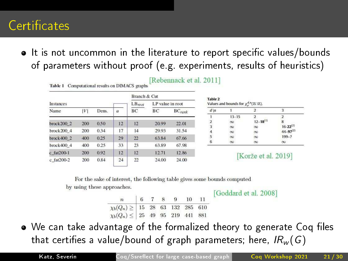### **Certificates**

• It is not uncommon in the literature to report specific values/bounds of parameters without proof (e.g. experiments, results of heuristics)

|                 |     |       |          |             | <b>Branch &amp; Cut</b> |                      |  |  |
|-----------------|-----|-------|----------|-------------|-------------------------|----------------------|--|--|
| Instances       |     |       |          | $LB_{root}$ | LP value in root        |                      |  |  |
| Name            | V   | Dens. | $\alpha$ | BС          | BC                      | $BC$ <sub>rank</sub> |  |  |
| break2002       | 200 | 0.50  | 12       | 12          | 20.99                   | 22.01                |  |  |
| brock200 4      | 200 | 0.34  | 17       | 14          | 29.93                   | 31.54                |  |  |
| break4002       | 400 | 0.25  | 29       | 22          | 63.84                   | 67.66                |  |  |
| $b$ roc $k4004$ | 400 | 0.25  | 33       | 23          | 63.89                   | 67.98                |  |  |
| $c$ fat $200-1$ | 200 | 0.92  | 12       | 12          | 12.71                   | 12.86                |  |  |
| c fat200-2      | 200 | 0.84  | 24       | 22          | 24.00                   | 24.00                |  |  |

#### [Rebennack et al. 2011]

| $d \nmid n$                           |           |                 |                                       |
|---------------------------------------|-----------|-----------------|---------------------------------------|
|                                       | $13 - 15$ |                 |                                       |
|                                       | $\infty$  | $12 - 18^{(1)}$ | 8                                     |
| $\begin{array}{c} 2 \\ 3 \end{array}$ | $\infty$  | $\infty$        | $16-22^{(2)}$<br>44-97 <sup>(2)</sup> |
|                                       | $\infty$  | $\infty$        |                                       |
| $\begin{array}{c} 4 \\ 5 \end{array}$ | $\infty$  | $\infty$        | $199 - 7$                             |
| 6                                     | $\infty$  | $\infty$        | $\infty$                              |

#### [Korže et al. 2019]

For the sake of interest, the following table gives some bounds computed

by using these approaches.

Table 1 Computational results on DIMACS graphs

| Goddard et al. 2008] |  |  |  |  |  |
|----------------------|--|--|--|--|--|
|----------------------|--|--|--|--|--|

| n 6 7 8 9 10 11                                    |  |  |  |
|----------------------------------------------------|--|--|--|
| $\chi_b(Q_n) \ge   15 \t28 \t63 \t132 \t285 \t610$ |  |  |  |
| $\chi_b(Q_n) \leq  25 \t49 \t95 \t219 \t441 \t881$ |  |  |  |

• We can take advantage of the formalized theory to generate Coq files that certifies a value/bound of graph parameters; here,  $IR_w(G)$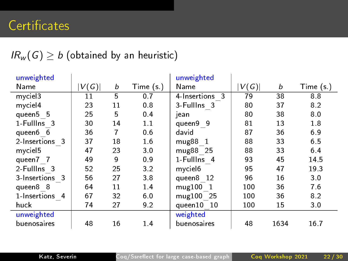| unweighted     |      |    |           | unweighted           |      |      |            |
|----------------|------|----|-----------|----------------------|------|------|------------|
| Name           | V(G) | b  | Time (s ) | Name                 | V(G) | b    | Time $(s)$ |
| myciel3        | 11   | 5  | 0.7       | 4-Insertions 3       | 79   | 38   | 8.8        |
| myciel4        | 23   | 11 | 0.8       | 3-FullIns 3          | 80   | 37   | 8.2        |
| queen5 5       | 25   | 5  | 0.4       | jean                 | 80   | 38   | 8.0        |
| 1-Fullins 3    | 30   | 14 | 1.1       | queen9 9             | 81   | 13   | 1.8        |
| queen6 6       | 36   | 7  | 0.6       | david                | 87   | 36   | 6.9        |
| 2-Insertions 3 | 37   | 18 | 1.6       | mug88 1              | 88   | 33   | 65         |
| myciel5        | 47   | 23 | 3.0       | mug88 25             | 88   | 33   | 6.4        |
| queen7 7       | 49   | 9  | 0.9       | 1-Fullins 4          | 93   | 45   | 14.5       |
| 2-FullIns 3    | 52   | 25 | 3.2       | my ciel <sub>6</sub> | 95   | 47   | 19.3       |
| 3-Insertions 3 | 56   | 27 | 3.8       | queen8 12            | 96   | 16   | 30         |
| queen8 8       | 64   | 11 | 14        | mug100 1             | 100  | 36   | 7.6        |
| 1 Insertions 4 | 67   | 32 | 6.0       | mug100 25            | 100  | 36   | 8.2        |
| huck           | 74   | 27 | 9.2       | queen10 10           | 100  | 15   | 3.0        |
| unweighted     |      |    |           | weighted             |      |      |            |
| buenosaires    | 48   | 16 | 1.4       | buenosaires          | 48   | 1634 | 16.7       |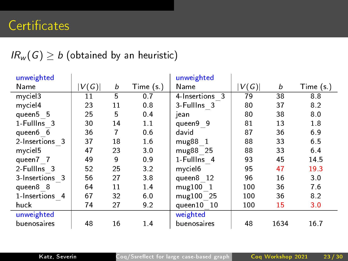| unweighted     |      |    |            | unweighted           |      |      |             |
|----------------|------|----|------------|----------------------|------|------|-------------|
| Name           | V(G) | b  | Time $(s)$ | Name                 | V(G) | b    | Time $(s.)$ |
| myciel3        | 11   | 5  | 0.7        | 4-Insertions 3       | 79   | 38   | 8.8         |
| myciel4        | 23   | 11 | 0.8        | 3-FullIns 3          | 80   | 37   | 8.2         |
| queen5 5       | 25   | 5  | 0.4        | jean                 | 80   | 38   | 8.0         |
| 1-Fullins 3    | 30   | 14 | 1.1        | queen9 9             | 81   | 13   | 1.8         |
| queen6 6       | 36   | 7  | 0.6        | david                | 87   | 36   | 6.9         |
| 2-Insertions 3 | 37   | 18 | 1.6        | mug88 1              | 88   | 33   | 6.5         |
| myciel5        | 47   | 23 | 3.0        | mug88 25             | 88   | 33   | 64          |
| queen7 7       | 49   | 9  | 0.9        | 1-Fullins 4          | 93   | 45   | 14.5        |
| 2-FullIns 3    | 52   | 25 | 3.2        | my ciel <sub>6</sub> | 95   | 47   | 19.3        |
| 3-Insertions 3 | 56   | 27 | 3.8        | queen8 12            | 96   | 16   | 3.0         |
| queen8 8       | 64   | 11 | 1.4        | mug100 1             | 100  | 36   | 7.6         |
| 1 Insertions 4 | 67   | 32 | 6.0        | mug100 25            | 100  | 36   | 8.2         |
| huck           | 74   | 27 | 9.2        | queen10 10           | 100  | 15   | 3.0         |
| unweighted     |      |    |            | weighted             |      |      |             |
| buenosaires    | 48   | 16 | 1.4        | buenosaires          | 48   | 1634 | 16.7        |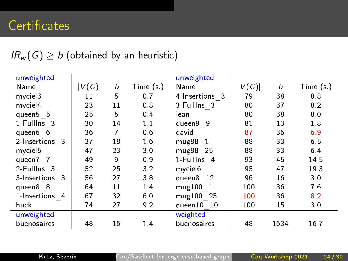| unweighted     |      |    |            | unweighted           |      |      |             |
|----------------|------|----|------------|----------------------|------|------|-------------|
| Name           | V(G) | b  | Time $(s)$ | Name                 | V(G) | b    | Time $(s.)$ |
| myciel3        | 11   | 5  | 0.7        | 4-Insertions 3       | 79   | 38   | 8.8         |
| myciel4        | 23   | 11 | 0.8        | 3-FullIns 3          | 80   | 37   | 8.2         |
| queen5 5       | 25   | 5  | 0.4        | jean                 | 80   | 38   | 8.0         |
| 1-Fullins 3    | 30   | 14 | 1.1        | queen9 9             | 81   | 13   | 1.8         |
| queen6 6       | 36   | 7  | 0.6        | david                | 87   | 36   | 6.9         |
| 2-Insertions 3 | 37   | 18 | 1.6        | mug88 1              | 88   | 33   | 6.5         |
| myciel5        | 47   | 23 | 3.0        | mug88 25             | 88   | 33   | 64          |
| queen7 7       | 49   | 9  | 0.9        | 1-Fulllns 4          | 93   | 45   | 14.5        |
| 2-FullIns 3    | 52   | 25 | 3.2        | my ciel <sub>6</sub> | 95   | 47   | 193         |
| 3-Insertions 3 | 56   | 27 | 3.8        | queen8 12            | 96   | 16   | 3.0         |
| queen8 8       | 64   | 11 | 1.4        | mug100 1             | 100  | 36   | 7.6         |
| 1 Insertions 4 | 67   | 32 | 6.0        | mug100 25            | 100  | 36   | 8.2         |
| huck           | 74   | 27 | 9.2        | queen10 10           | 100  | 15   | 3.0         |
| unweighted     |      |    |            | weighted             |      |      |             |
| buenosaires    | 48   | 16 | 1.4        | buenosaires          | 48   | 1634 | 16.7        |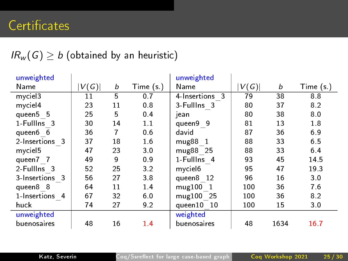| unweighted     |      |    |           | unweighted           |      |      |            |
|----------------|------|----|-----------|----------------------|------|------|------------|
| Name           | V(G) | b  | Time (s ) | Name                 | V(G) | b    | Time $(s)$ |
| myciel3        | 11   | 5  | 0.7       | 4-Insertions 3       | 79   | 38   | 8.8        |
| myciel4        | 23   | 11 | 0.8       | 3-FullIns 3          | 80   | 37   | 8.2        |
| queen5 5       | 25   | 5  | 0.4       | jean                 | 80   | 38   | 8.0        |
| 1-Fullins 3    | 30   | 14 | 1.1       | queen9 9             | 81   | 13   | 1.8        |
| queen6 6       | 36   | 7  | 0.6       | david                | 87   | 36   | 6.9        |
| 2-Insertions 3 | 37   | 18 | 1.6       | mug88 1              | 88   | 33   | 65         |
| myciel5        | 47   | 23 | 3.0       | mug88 25             | 88   | 33   | 6.4        |
| queen7 7       | 49   | 9  | 0.9       | 1-Fullins 4          | 93   | 45   | 14.5       |
| 2-FullIns 3    | 52   | 25 | 3.2       | my ciel <sub>6</sub> | 95   | 47   | 19.3       |
| 3-Insertions 3 | 56   | 27 | 3.8       | queen8 12            | 96   | 16   | 30         |
| queen8 8       | 64   | 11 | 14        | mug100 1             | 100  | 36   | 7.6        |
| 1 Insertions 4 | 67   | 32 | 6.0       | mug100 25            | 100  | 36   | 8.2        |
| huck           | 74   | 27 | 9.2       | queen10 10           | 100  | 15   | 3.0        |
| unweighted     |      |    |           | weighted             |      |      |            |
| buenosaires    | 48   | 16 | 1.4       | buenosaires          | 48   | 1634 | 16.7       |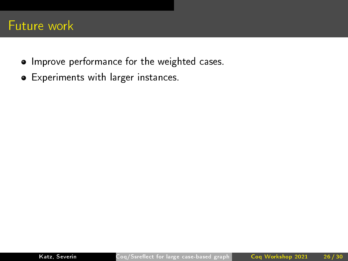- Improve performance for the weighted cases.
- Experiments with larger instances.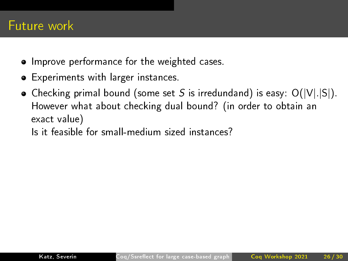- Improve performance for the weighted cases.
- Experiments with larger instances.
- Checking primal bound (some set S is irredundand) is easy:  $O(|V| |S|)$ . However what about checking dual bound? (in order to obtain an exact value)
	- Is it feasible for small-medium sized instances?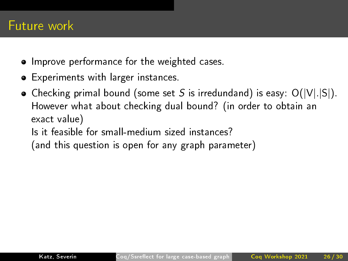- **•** Improve performance for the weighted cases.
- Experiments with larger instances.
- Checking primal bound (some set S is irredundand) is easy:  $O(|V|.|S|)$ . However what about checking dual bound? (in order to obtain an exact value)
	- Is it feasible for small-medium sized instances?
	- (and this question is open for any graph parameter)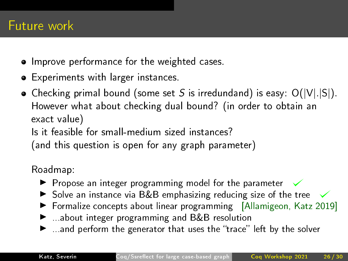- Improve performance for the weighted cases.
- Experiments with larger instances.
- Checking primal bound (some set S is irredundand) is easy:  $O(|V|.|S|)$ . However what about checking dual bound? (in order to obtain an exact value)
	- Is it feasible for small-medium sized instances?
	- (and this question is open for any graph parameter)

Roadmap:

- $\blacktriangleright$  Propose an integer programming model for the parameter  $\checkmark$
- $\triangleright$  Solve an instance via B&B emphasizing reducing size of the tree
- **Formalize concepts about linear programming** [Allamigeon, Katz 2019]
- ▶ ...about integer programming and B&B resolution
- $\blacktriangleright$  ...and perform the generator that uses the "trace" left by the solver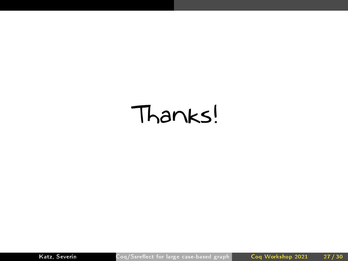# Thanks!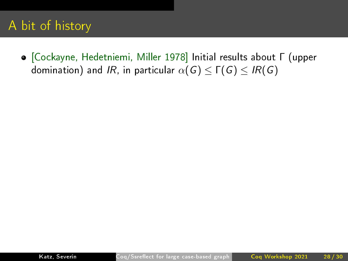[Cockayne, Hedetniemi, Miller 1978] Initial results about Γ (upper domination) and IR, in particular  $\alpha(G) \leq \Gamma(G) \leq IR(G)$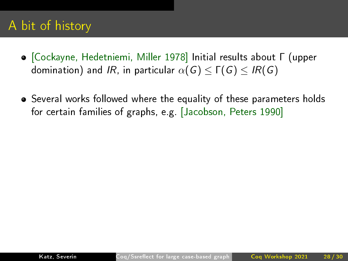- [Cockayne, Hedetniemi, Miller 1978] Initial results about Γ (upper domination) and IR, in particular  $\alpha(G) \leq \Gamma(G) \leq IR(G)$
- Several works followed where the equality of these parameters holds for certain families of graphs, e.g. [Jacobson, Peters 1990]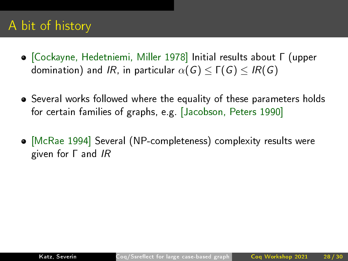- [Cockayne, Hedetniemi, Miller 1978] Initial results about Γ (upper domination) and IR, in particular  $\alpha(G) < \Gamma(G) < IR(G)$
- Several works followed where the equality of these parameters holds for certain families of graphs, e.g. [Jacobson, Peters 1990]
- [McRae 1994] Several (NP-completeness) complexity results were given for Γ and IR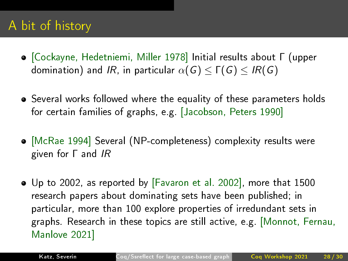- [Cockayne, Hedetniemi, Miller 1978] Initial results about Γ (upper domination) and IR, in particular  $\alpha(G) \leq \Gamma(G) \leq IR(G)$
- Several works followed where the equality of these parameters holds for certain families of graphs, e.g. [Jacobson, Peters 1990]
- [McRae 1994] Several (NP-completeness) complexity results were given for Γ and IR
- Up to 2002, as reported by [Favaron et al. 2002], more that 1500 research papers about dominating sets have been published; in particular, more than 100 explore properties of irredundant sets in graphs. Research in these topics are still active, e.g. [Monnot, Fernau, Manlove 2021]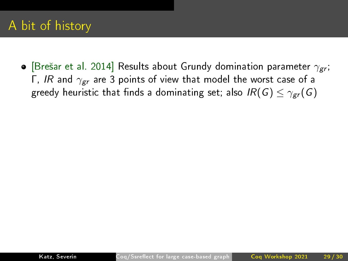• [Brešar et al. 2014] Results about Grundy domination parameter  $\gamma_{\text{gr}}$ ; Γ, IR and  $γ_{gr}$  are 3 points of view that model the worst case of a greedy heuristic that finds a dominating set; also  $IR(G) \leq \gamma_{\text{gr}}(G)$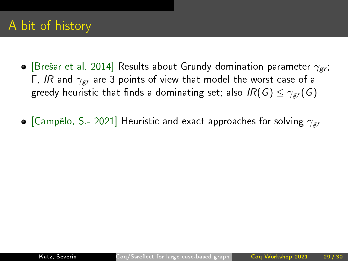**•** [Brešar et al. 2014] Results about Grundy domination parameter  $\gamma_{gr}$ ; Γ, IR and  $γ_{gr}$  are 3 points of view that model the worst case of a greedy heuristic that finds a dominating set; also  $IR(G) \leq \gamma_{gr}(G)$ 

• [Campêlo, S.- 2021] Heuristic and exact approaches for solving  $\gamma_{\text{gr}}$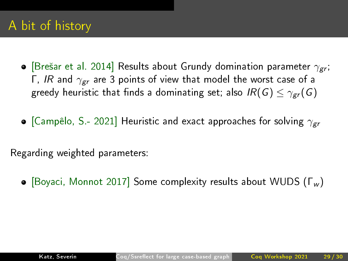- [Brešar et al. 2014] Results about Grundy domination parameter  $\gamma_{\text{gr}}$ ; Γ, IR and  $γ_{gr}$  are 3 points of view that model the worst case of a greedy heuristic that finds a dominating set; also  $IR(G) \leq \gamma_{gr}(G)$
- [Campêlo, S.- 2021] Heuristic and exact approaches for solving  $\gamma_{\text{gr}}$

Regarding weighted parameters:

 $\bullet$  [Boyaci, Monnot 2017] Some complexity results about WUDS (Γw)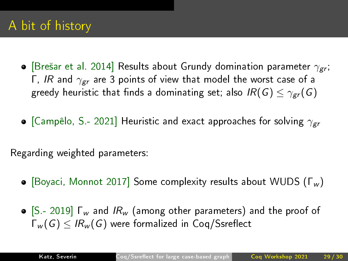- **•** [Brešar et al. 2014] Results about Grundy domination parameter  $\gamma_{gr}$ ; Γ, IR and  $γ_{gr}$  are 3 points of view that model the worst case of a greedy heuristic that finds a dominating set; also  $IR(G) \leq \gamma_{gr}(G)$
- [Campêlo, S.- 2021] Heuristic and exact approaches for solving  $\gamma_{\text{gr}}$

Regarding weighted parameters:

- $\bullet$  [Boyaci, Monnot 2017] Some complexity results about WUDS (Γw)
- $\bullet$  [S 2019]  $\Gamma_w$  and  $IR_w$  (among other parameters) and the proof of  $\Gamma_w(G) \leq IR_w(G)$  were formalized in Coq/Ssreflect